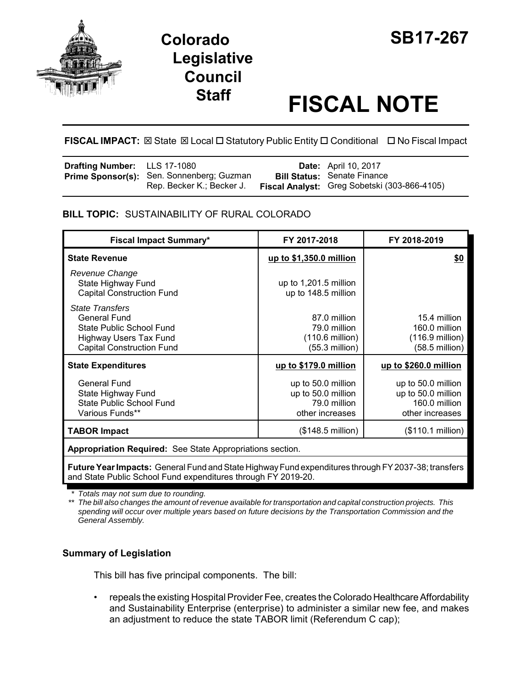



# **Staff FISCAL NOTE**

# **FISCAL IMPACT:** ⊠ State ⊠ Local □ Statutory Public Entity □ Conditional □ No Fiscal Impact

| <b>Drafting Number:</b> LLS 17-1080 |                                                                               | <b>Date:</b> April 10, 2017                                                        |
|-------------------------------------|-------------------------------------------------------------------------------|------------------------------------------------------------------------------------|
|                                     | <b>Prime Sponsor(s):</b> Sen. Sonnenberg; Guzman<br>Rep. Becker K.; Becker J. | <b>Bill Status: Senate Finance</b><br>Fiscal Analyst: Greg Sobetski (303-866-4105) |

## **BILL TOPIC:** SUSTAINABILITY OF RURAL COLORADO

| <b>Fiscal Impact Summary*</b>                                                                                                                  | FY 2017-2018                                                                | FY 2018-2019                                                                 |  |
|------------------------------------------------------------------------------------------------------------------------------------------------|-----------------------------------------------------------------------------|------------------------------------------------------------------------------|--|
| <b>State Revenue</b>                                                                                                                           | up to \$1,350.0 million                                                     | \$0                                                                          |  |
| Revenue Change<br>State Highway Fund<br><b>Capital Construction Fund</b>                                                                       | up to $1,201.5$ million<br>up to 148.5 million                              |                                                                              |  |
| <b>State Transfers</b><br><b>General Fund</b><br>State Public School Fund<br><b>Highway Users Tax Fund</b><br><b>Capital Construction Fund</b> | 87.0 million<br>79.0 million<br>(110.6 million)<br>(55.3 million)           | 15.4 million<br>160.0 million<br>(116.9 million)<br>(58.5 million)           |  |
| <b>State Expenditures</b>                                                                                                                      | up to \$179.0 million                                                       | up to \$260.0 million                                                        |  |
| <b>General Fund</b><br>State Highway Fund<br><b>State Public School Fund</b><br>Various Funds**                                                | up to 50.0 million<br>up to 50.0 million<br>79.0 million<br>other increases | up to 50.0 million<br>up to 50.0 million<br>160.0 million<br>other increases |  |
| <b>TABOR Impact</b>                                                                                                                            | (\$148.5 million)                                                           | (\$110.1 million)                                                            |  |
| Appropriation Required: See State Appropriations section.                                                                                      |                                                                             |                                                                              |  |

**Future Year Impacts:** General Fund and State Highway Fund expenditures through FY 2037-38; transfers and State Public School Fund expenditures through FY 2019-20.

*\* Totals may not sum due to rounding.*

*\*\* The bill also changes the amount of revenue available for transportation and capital construction projects. This spending will occur over multiple years based on future decisions by the Transportation Commission and the General Assembly.*

## **Summary of Legislation**

This bill has five principal components. The bill:

• repeals the existing Hospital Provider Fee, creates the Colorado Healthcare Affordability and Sustainability Enterprise (enterprise) to administer a similar new fee, and makes an adjustment to reduce the state TABOR limit (Referendum C cap);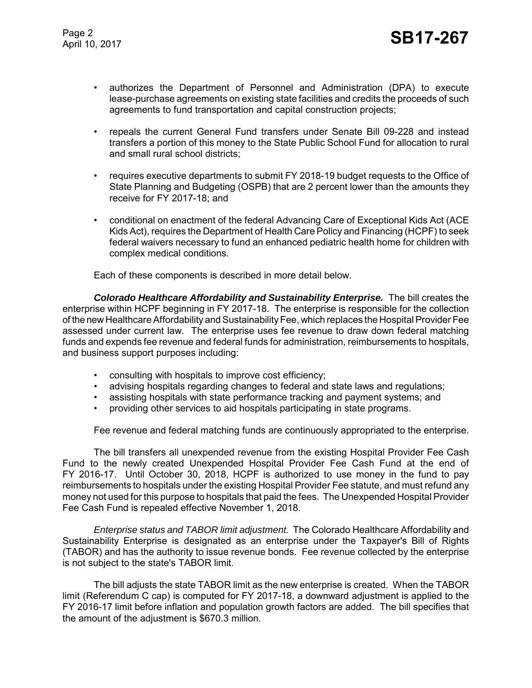- authorizes the Department of Personnel and Administration (DPA) to execute lease-purchase agreements on existing state facilities and credits the proceeds of such agreements to fund transportation and capital construction projects;
- repeals the current General Fund transfers under Senate Bill 09-228 and instead transfers a portion of this money to the State Public School Fund for allocation to rural and small rural school districts;
- requires executive departments to submit FY 2018-19 budget requests to the Office of State Planning and Budgeting (OSPB) that are 2 percent lower than the amounts they receive for FY 2017-18; and
- conditional on enactment of the federal Advancing Care of Exceptional Kids Act (ACE Kids Act), requires the Department of Health Care Policy and Financing (HCPF) to seek federal waivers necessary to fund an enhanced pediatric health home for children with complex medical conditions.

Each of these components is described in more detail below.

*Colorado Healthcare Affordability and Sustainability Enterprise.* The bill creates the enterprise within HCPF beginning in FY 2017-18. The enterprise is responsible for the collection of the new Healthcare Affordability and Sustainability Fee, which replaces the Hospital Provider Fee assessed under current law. The enterprise uses fee revenue to draw down federal matching funds and expends fee revenue and federal funds for administration, reimbursements to hospitals, and business support purposes including:

- consulting with hospitals to improve cost efficiency;
- advising hospitals regarding changes to federal and state laws and regulations;
- assisting hospitals with state performance tracking and payment systems; and
- providing other services to aid hospitals participating in state programs.

Fee revenue and federal matching funds are continuously appropriated to the enterprise.

The bill transfers all unexpended revenue from the existing Hospital Provider Fee Cash Fund to the newly created Unexpended Hospital Provider Fee Cash Fund at the end of FY 2016-17. Until October 30, 2018, HCPF is authorized to use money in the fund to pay reimbursements to hospitals under the existing Hospital Provider Fee statute, and must refund any money not used for this purpose to hospitals that paid the fees. The Unexpended Hospital Provider Fee Cash Fund is repealed effective November 1, 2018.

*Enterprise status and TABOR limit adjustment.* The Colorado Healthcare Affordability and Sustainability Enterprise is designated as an enterprise under the Taxpayer's Bill of Rights (TABOR) and has the authority to issue revenue bonds. Fee revenue collected by the enterprise is not subject to the state's TABOR limit.

The bill adjusts the state TABOR limit as the new enterprise is created. When the TABOR limit (Referendum C cap) is computed for FY 2017-18, a downward adjustment is applied to the FY 2016-17 limit before inflation and population growth factors are added. The bill specifies that the amount of the adjustment is \$670.3 million.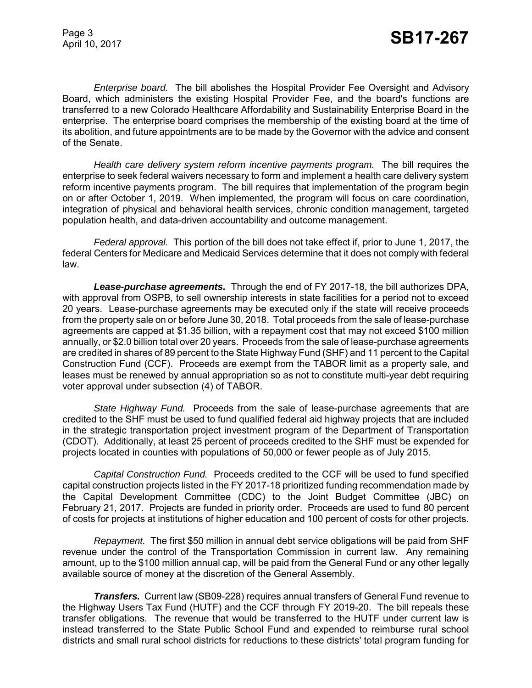*Enterprise board.* The bill abolishes the Hospital Provider Fee Oversight and Advisory Board, which administers the existing Hospital Provider Fee, and the board's functions are transferred to a new Colorado Healthcare Affordability and Sustainability Enterprise Board in the enterprise. The enterprise board comprises the membership of the existing board at the time of its abolition, and future appointments are to be made by the Governor with the advice and consent of the Senate.

*Health care delivery system reform incentive payments program.* The bill requires the enterprise to seek federal waivers necessary to form and implement a health care delivery system reform incentive payments program. The bill requires that implementation of the program begin on or after October 1, 2019. When implemented, the program will focus on care coordination, integration of physical and behavioral health services, chronic condition management, targeted population health, and data-driven accountability and outcome management.

*Federal approval.* This portion of the bill does not take effect if, prior to June 1, 2017, the federal Centers for Medicare and Medicaid Services determine that it does not comply with federal law.

*Lease-purchase agreements.* Through the end of FY 2017-18, the bill authorizes DPA, with approval from OSPB, to sell ownership interests in state facilities for a period not to exceed 20 years. Lease-purchase agreements may be executed only if the state will receive proceeds from the property sale on or before June 30, 2018. Total proceeds from the sale of lease-purchase agreements are capped at \$1.35 billion, with a repayment cost that may not exceed \$100 million annually, or \$2.0 billion total over 20 years. Proceeds from the sale of lease-purchase agreements are credited in shares of 89 percent to the State Highway Fund (SHF) and 11 percent to the Capital Construction Fund (CCF). Proceeds are exempt from the TABOR limit as a property sale, and leases must be renewed by annual appropriation so as not to constitute multi-year debt requiring voter approval under subsection (4) of TABOR.

*State Highway Fund.* Proceeds from the sale of lease-purchase agreements that are credited to the SHF must be used to fund qualified federal aid highway projects that are included in the strategic transportation project investment program of the Department of Transportation (CDOT). Additionally, at least 25 percent of proceeds credited to the SHF must be expended for projects located in counties with populations of 50,000 or fewer people as of July 2015.

*Capital Construction Fund.* Proceeds credited to the CCF will be used to fund specified capital construction projects listed in the FY 2017-18 prioritized funding recommendation made by the Capital Development Committee (CDC) to the Joint Budget Committee (JBC) on February 21, 2017. Projects are funded in priority order. Proceeds are used to fund 80 percent of costs for projects at institutions of higher education and 100 percent of costs for other projects.

*Repayment.* The first \$50 million in annual debt service obligations will be paid from SHF revenue under the control of the Transportation Commission in current law. Any remaining amount, up to the \$100 million annual cap, will be paid from the General Fund or any other legally available source of money at the discretion of the General Assembly.

*Transfers.* Current law (SB09-228) requires annual transfers of General Fund revenue to the Highway Users Tax Fund (HUTF) and the CCF through FY 2019-20. The bill repeals these transfer obligations. The revenue that would be transferred to the HUTF under current law is instead transferred to the State Public School Fund and expended to reimburse rural school districts and small rural school districts for reductions to these districts' total program funding for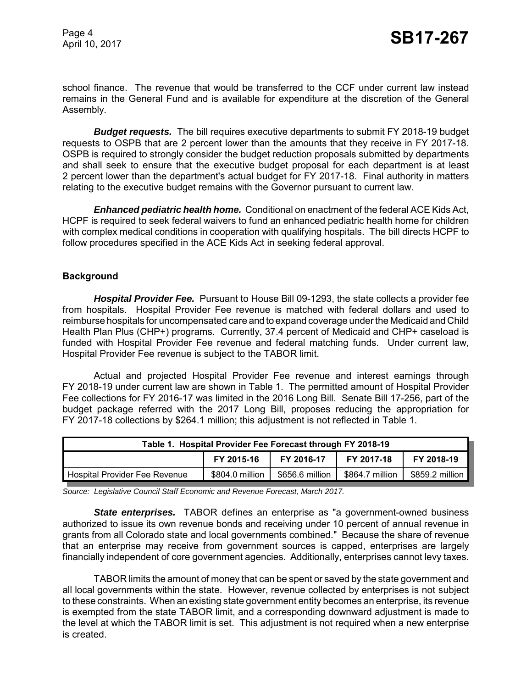Page 4

school finance. The revenue that would be transferred to the CCF under current law instead remains in the General Fund and is available for expenditure at the discretion of the General Assembly.

*Budget requests.* The bill requires executive departments to submit FY 2018-19 budget requests to OSPB that are 2 percent lower than the amounts that they receive in FY 2017-18. OSPB is required to strongly consider the budget reduction proposals submitted by departments and shall seek to ensure that the executive budget proposal for each department is at least 2 percent lower than the department's actual budget for FY 2017-18. Final authority in matters relating to the executive budget remains with the Governor pursuant to current law.

*Enhanced pediatric health home.* Conditional on enactment of the federal ACE Kids Act, HCPF is required to seek federal waivers to fund an enhanced pediatric health home for children with complex medical conditions in cooperation with qualifying hospitals. The bill directs HCPF to follow procedures specified in the ACE Kids Act in seeking federal approval.

## **Background**

*Hospital Provider Fee.* Pursuant to House Bill 09-1293, the state collects a provider fee from hospitals. Hospital Provider Fee revenue is matched with federal dollars and used to reimburse hospitals for uncompensated care and to expand coverage under the Medicaid and Child Health Plan Plus (CHP+) programs. Currently, 37.4 percent of Medicaid and CHP+ caseload is funded with Hospital Provider Fee revenue and federal matching funds. Under current law, Hospital Provider Fee revenue is subject to the TABOR limit.

Actual and projected Hospital Provider Fee revenue and interest earnings through FY 2018-19 under current law are shown in Table 1. The permitted amount of Hospital Provider Fee collections for FY 2016-17 was limited in the 2016 Long Bill. Senate Bill 17-256, part of the budget package referred with the 2017 Long Bill, proposes reducing the appropriation for FY 2017-18 collections by \$264.1 million; this adjustment is not reflected in Table 1.

| Table 1. Hospital Provider Fee Forecast through FY 2018-19 |                 |                 |                 |                 |
|------------------------------------------------------------|-----------------|-----------------|-----------------|-----------------|
|                                                            | FY 2015-16      | FY 2016-17      | FY 2017-18      | FY 2018-19      |
| Hospital Provider Fee Revenue                              | \$804.0 million | \$656.6 million | \$864.7 million | \$859.2 million |

*Source: Legislative Council Staff Economic and Revenue Forecast, March 2017.*

*State enterprises.* TABOR defines an enterprise as "a government-owned business authorized to issue its own revenue bonds and receiving under 10 percent of annual revenue in grants from all Colorado state and local governments combined." Because the share of revenue that an enterprise may receive from government sources is capped, enterprises are largely financially independent of core government agencies. Additionally, enterprises cannot levy taxes.

TABOR limits the amount of money that can be spent or saved by the state government and all local governments within the state. However, revenue collected by enterprises is not subject to these constraints. When an existing state government entity becomes an enterprise, its revenue is exempted from the state TABOR limit, and a corresponding downward adjustment is made to the level at which the TABOR limit is set. This adjustment is not required when a new enterprise is created.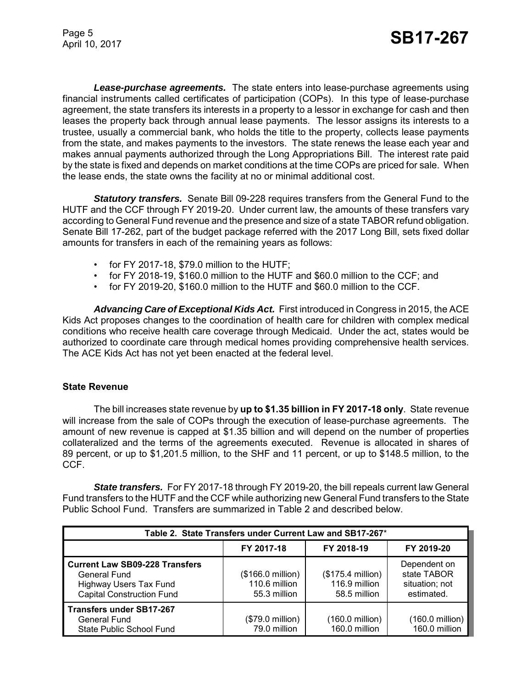*Lease-purchase agreements.* The state enters into lease-purchase agreements using financial instruments called certificates of participation (COPs). In this type of lease-purchase agreement, the state transfers its interests in a property to a lessor in exchange for cash and then leases the property back through annual lease payments. The lessor assigns its interests to a trustee, usually a commercial bank, who holds the title to the property, collects lease payments from the state, and makes payments to the investors. The state renews the lease each year and makes annual payments authorized through the Long Appropriations Bill. The interest rate paid by the state is fixed and depends on market conditions at the time COPs are priced for sale. When the lease ends, the state owns the facility at no or minimal additional cost.

*Statutory transfers.* Senate Bill 09-228 requires transfers from the General Fund to the HUTF and the CCF through FY 2019-20. Under current law, the amounts of these transfers vary according to General Fund revenue and the presence and size of a state TABOR refund obligation. Senate Bill 17-262, part of the budget package referred with the 2017 Long Bill, sets fixed dollar amounts for transfers in each of the remaining years as follows:

- for FY 2017-18, \$79.0 million to the HUTF;
- for FY 2018-19, \$160.0 million to the HUTF and \$60.0 million to the CCF; and
- for FY 2019-20, \$160.0 million to the HUTF and \$60.0 million to the CCF.

*Advancing Care of Exceptional Kids Act.* First introduced in Congress in 2015, the ACE Kids Act proposes changes to the coordination of health care for children with complex medical conditions who receive health care coverage through Medicaid. Under the act, states would be authorized to coordinate care through medical homes providing comprehensive health services. The ACE Kids Act has not yet been enacted at the federal level.

#### **State Revenue**

The bill increases state revenue by **up to \$1.35 billion in FY 2017-18 only**. State revenue will increase from the sale of COPs through the execution of lease-purchase agreements. The amount of new revenue is capped at \$1.35 billion and will depend on the number of properties collateralized and the terms of the agreements executed. Revenue is allocated in shares of 89 percent, or up to \$1,201.5 million, to the SHF and 11 percent, or up to \$148.5 million, to the CCF.

*State transfers.* For FY 2017-18 through FY 2019-20, the bill repeals current law General Fund transfers to the HUTF and the CCF while authorizing new General Fund transfers to the State Public School Fund. Transfers are summarized in Table 2 and described below.

| Table 2. State Transfers under Current Law and SB17-267*                                                                   |                                                    |                                                    |                                                             |  |
|----------------------------------------------------------------------------------------------------------------------------|----------------------------------------------------|----------------------------------------------------|-------------------------------------------------------------|--|
|                                                                                                                            | FY 2017-18                                         | FY 2018-19                                         | FY 2019-20                                                  |  |
| <b>Current Law SB09-228 Transfers</b><br>General Fund<br><b>Highway Users Tax Fund</b><br><b>Capital Construction Fund</b> | (\$166.0 million)<br>110.6 million<br>55.3 million | (\$175.4 million)<br>116.9 million<br>58.5 million | Dependent on<br>state TABOR<br>situation; not<br>estimated. |  |
| <b>Transfers under SB17-267</b><br>General Fund<br>State Public School Fund                                                | $($79.0 \text{ million})$<br>79.0 million          | (160.0 million)<br>160.0 million                   | (160.0 million)<br>160.0 million                            |  |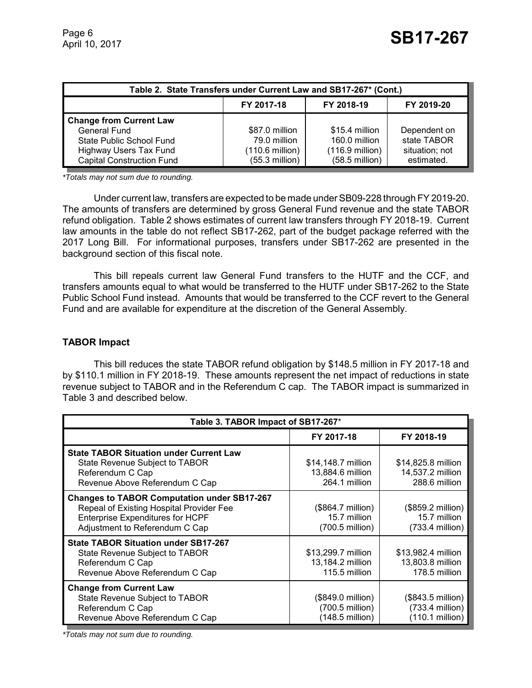| Table 2. State Transfers under Current Law and SB17-267* (Cont.) |                  |                           |                |  |
|------------------------------------------------------------------|------------------|---------------------------|----------------|--|
|                                                                  | FY 2017-18       | FY 2018-19                | FY 2019-20     |  |
| <b>Change from Current Law</b>                                   |                  |                           |                |  |
| General Fund                                                     | \$87.0 million   | \$15.4 million            | Dependent on   |  |
| State Public School Fund                                         | 79.0 million     | 160.0 million             | state TABOR    |  |
| <b>Highway Users Tax Fund</b>                                    | (110.6 million)  | $(116.9 \text{ million})$ | situation; not |  |
| <b>Capital Construction Fund</b>                                 | $(55.3$ million) | $(58.5 \text{ million})$  | estimated.     |  |

*\*Totals may not sum due to rounding.*

Under current law, transfers are expected to be made under SB09-228 through FY 2019-20. The amounts of transfers are determined by gross General Fund revenue and the state TABOR refund obligation. Table 2 shows estimates of current law transfers through FY 2018-19. Current law amounts in the table do not reflect SB17-262, part of the budget package referred with the 2017 Long Bill. For informational purposes, transfers under SB17-262 are presented in the background section of this fiscal note.

This bill repeals current law General Fund transfers to the HUTF and the CCF, and transfers amounts equal to what would be transferred to the HUTF under SB17-262 to the State Public School Fund instead. Amounts that would be transferred to the CCF revert to the General Fund and are available for expenditure at the discretion of the General Assembly.

### **TABOR Impact**

This bill reduces the state TABOR refund obligation by \$148.5 million in FY 2017-18 and by \$110.1 million in FY 2018-19. These amounts represent the net impact of reductions in state revenue subject to TABOR and in the Referendum C cap. The TABOR impact is summarized in Table 3 and described below.

| Table 3. TABOR Impact of SB17-267*                                                                                                                                          |                                                         |                                                         |  |
|-----------------------------------------------------------------------------------------------------------------------------------------------------------------------------|---------------------------------------------------------|---------------------------------------------------------|--|
|                                                                                                                                                                             | FY 2017-18                                              | FY 2018-19                                              |  |
| <b>State TABOR Situation under Current Law</b><br>State Revenue Subject to TABOR<br>Referendum C Cap<br>Revenue Above Referendum C Cap                                      | \$14,148.7 million<br>13,884.6 million<br>264.1 million | \$14,825.8 million<br>14,537.2 million<br>288.6 million |  |
| <b>Changes to TABOR Computation under SB17-267</b><br>Repeal of Existing Hospital Provider Fee<br><b>Enterprise Expenditures for HCPF</b><br>Adjustment to Referendum C Cap | (\$864.7 million)<br>15.7 million<br>(700.5 million)    | (\$859.2 million)<br>15.7 million<br>$(733.4$ million)  |  |
| <b>State TABOR Situation under SB17-267</b><br>State Revenue Subject to TABOR<br>Referendum C Cap<br>Revenue Above Referendum C Cap                                         | \$13,299.7 million<br>13,184.2 million<br>115.5 million | \$13,982.4 million<br>13,803.8 million<br>178.5 million |  |
| <b>Change from Current Law</b><br>State Revenue Subject to TABOR<br>Referendum C Cap<br>Revenue Above Referendum C Cap                                                      | (\$849.0 million)<br>(700.5 million)<br>(148.5 million) | (\$843.5 million)<br>(733.4 million)<br>(110.1 million) |  |

*\*Totals may not sum due to rounding.*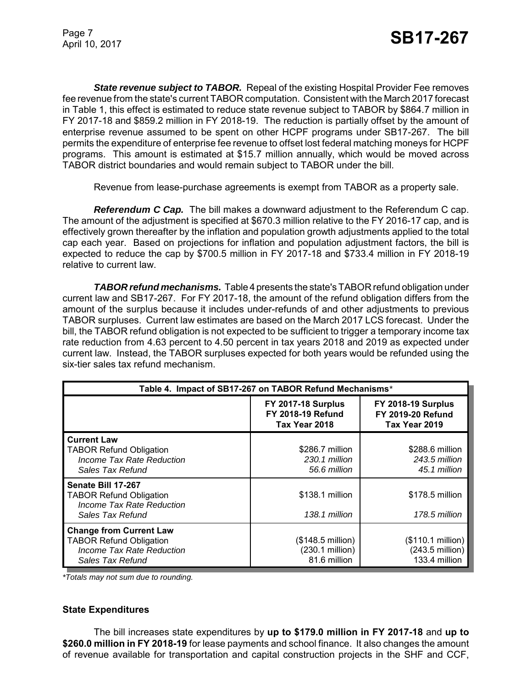**State revenue subject to TABOR.** Repeal of the existing Hospital Provider Fee removes fee revenue from the state's current TABOR computation. Consistent with the March 2017 forecast in Table 1, this effect is estimated to reduce state revenue subject to TABOR by \$864.7 million in FY 2017-18 and \$859.2 million in FY 2018-19. The reduction is partially offset by the amount of enterprise revenue assumed to be spent on other HCPF programs under SB17-267. The bill permits the expenditure of enterprise fee revenue to offset lost federal matching moneys for HCPF programs. This amount is estimated at \$15.7 million annually, which would be moved across TABOR district boundaries and would remain subject to TABOR under the bill.

Revenue from lease-purchase agreements is exempt from TABOR as a property sale.

*Referendum C Cap.* The bill makes a downward adjustment to the Referendum C cap. The amount of the adjustment is specified at \$670.3 million relative to the FY 2016-17 cap, and is effectively grown thereafter by the inflation and population growth adjustments applied to the total cap each year. Based on projections for inflation and population adjustment factors, the bill is expected to reduce the cap by \$700.5 million in FY 2017-18 and \$733.4 million in FY 2018-19 relative to current law.

*TABOR refund mechanisms.* Table 4 presents the state's TABOR refund obligation under current law and SB17-267. For FY 2017-18, the amount of the refund obligation differs from the amount of the surplus because it includes under-refunds of and other adjustments to previous TABOR surpluses. Current law estimates are based on the March 2017 LCS forecast. Under the bill, the TABOR refund obligation is not expected to be sufficient to trigger a temporary income tax rate reduction from 4.63 percent to 4.50 percent in tax years 2018 and 2019 as expected under current law. Instead, the TABOR surpluses expected for both years would be refunded using the six-tier sales tax refund mechanism.

| Table 4. Impact of SB17-267 on TABOR Refund Mechanisms*                                                           |                                                                        |                                                                        |  |
|-------------------------------------------------------------------------------------------------------------------|------------------------------------------------------------------------|------------------------------------------------------------------------|--|
|                                                                                                                   | <b>FY 2017-18 Surplus</b><br><b>FY 2018-19 Refund</b><br>Tax Year 2018 | <b>FY 2018-19 Surplus</b><br><b>FY 2019-20 Refund</b><br>Tax Year 2019 |  |
| <b>Current Law</b><br><b>TABOR Refund Obligation</b><br>Income Tax Rate Reduction<br>Sales Tax Refund             | \$286.7 million<br>230.1 million<br>56.6 million                       | \$288.6 million<br>243.5 million<br>45.1 million                       |  |
| Senate Bill 17-267<br><b>TABOR Refund Obligation</b><br>Income Tax Rate Reduction<br>Sales Tax Refund             | \$138.1 million<br>138.1 million                                       | \$178.5 million<br>178.5 million                                       |  |
| <b>Change from Current Law</b><br><b>TABOR Refund Obligation</b><br>Income Tax Rate Reduction<br>Sales Tax Refund | $($148.5 \text{ million})$<br>(230.1 million)<br>81.6 million          | (\$110.1 million)<br>$(243.5 \text{ million})$<br>133.4 million        |  |

*\*Totals may not sum due to rounding.*

#### **State Expenditures**

The bill increases state expenditures by **up to \$179.0 million in FY 2017-18** and **up to \$260.0 million in FY 2018-19** for lease payments and school finance. It also changes the amount of revenue available for transportation and capital construction projects in the SHF and CCF,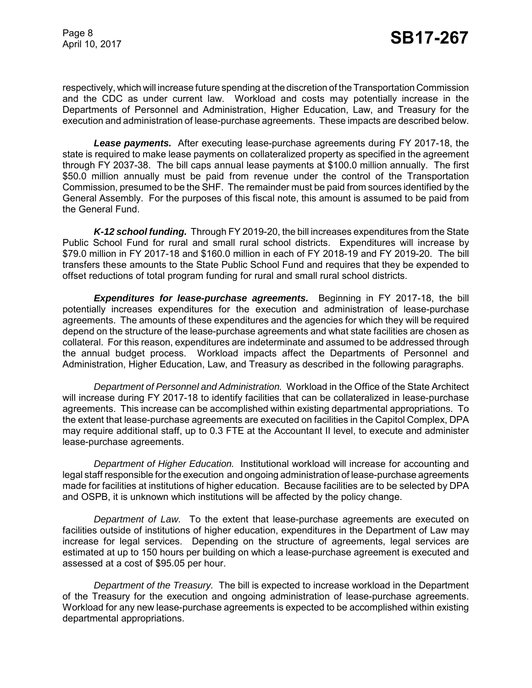respectively, which will increase future spending at the discretion of the Transportation Commission and the CDC as under current law. Workload and costs may potentially increase in the Departments of Personnel and Administration, Higher Education, Law, and Treasury for the execution and administration of lease-purchase agreements. These impacts are described below.

*Lease payments.* After executing lease-purchase agreements during FY 2017-18, the state is required to make lease payments on collateralized property as specified in the agreement through FY 2037-38. The bill caps annual lease payments at \$100.0 million annually. The first \$50.0 million annually must be paid from revenue under the control of the Transportation Commission, presumed to be the SHF. The remainder must be paid from sources identified by the General Assembly. For the purposes of this fiscal note, this amount is assumed to be paid from the General Fund.

*K-12 school funding.* Through FY 2019-20, the bill increases expenditures from the State Public School Fund for rural and small rural school districts. Expenditures will increase by \$79.0 million in FY 2017-18 and \$160.0 million in each of FY 2018-19 and FY 2019-20. The bill transfers these amounts to the State Public School Fund and requires that they be expended to offset reductions of total program funding for rural and small rural school districts.

*Expenditures for lease-purchase agreements.* Beginning in FY 2017-18, the bill potentially increases expenditures for the execution and administration of lease-purchase agreements. The amounts of these expenditures and the agencies for which they will be required depend on the structure of the lease-purchase agreements and what state facilities are chosen as collateral. For this reason, expenditures are indeterminate and assumed to be addressed through the annual budget process. Workload impacts affect the Departments of Personnel and Administration, Higher Education, Law, and Treasury as described in the following paragraphs.

*Department of Personnel and Administration.* Workload in the Office of the State Architect will increase during FY 2017-18 to identify facilities that can be collateralized in lease-purchase agreements. This increase can be accomplished within existing departmental appropriations. To the extent that lease-purchase agreements are executed on facilities in the Capitol Complex, DPA may require additional staff, up to 0.3 FTE at the Accountant II level, to execute and administer lease-purchase agreements.

*Department of Higher Education.* Institutional workload will increase for accounting and legal staff responsible for the execution and ongoing administration of lease-purchase agreements made for facilities at institutions of higher education. Because facilities are to be selected by DPA and OSPB, it is unknown which institutions will be affected by the policy change.

*Department of Law.* To the extent that lease-purchase agreements are executed on facilities outside of institutions of higher education, expenditures in the Department of Law may increase for legal services. Depending on the structure of agreements, legal services are estimated at up to 150 hours per building on which a lease-purchase agreement is executed and assessed at a cost of \$95.05 per hour.

*Department of the Treasury.* The bill is expected to increase workload in the Department of the Treasury for the execution and ongoing administration of lease-purchase agreements. Workload for any new lease-purchase agreements is expected to be accomplished within existing departmental appropriations.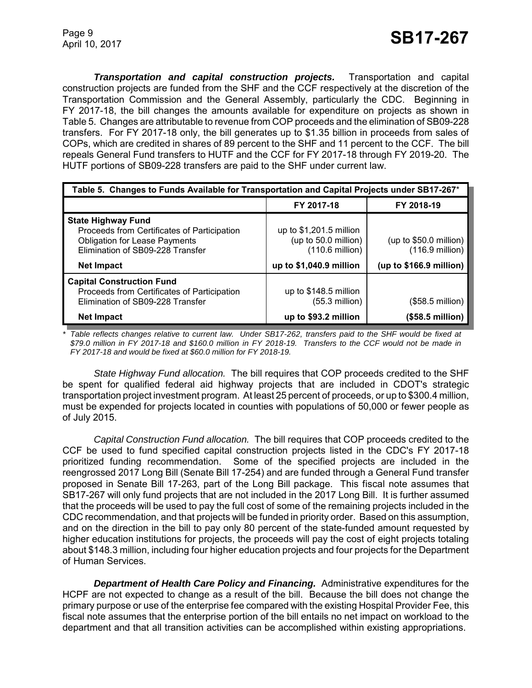*Transportation and capital construction projects.* Transportation and capital construction projects are funded from the SHF and the CCF respectively at the discretion of the Transportation Commission and the General Assembly, particularly the CDC. Beginning in FY 2017-18, the bill changes the amounts available for expenditure on projects as shown in Table 5. Changes are attributable to revenue from COP proceeds and the elimination of SB09-228 transfers. For FY 2017-18 only, the bill generates up to \$1.35 billion in proceeds from sales of COPs, which are credited in shares of 89 percent to the SHF and 11 percent to the CCF. The bill repeals General Fund transfers to HUTF and the CCF for FY 2017-18 through FY 2019-20. The HUTF portions of SB09-228 transfers are paid to the SHF under current law.

| Table 5. Changes to Funds Available for Transportation and Capital Projects under SB17-267*                                                          |                                                                               |                                             |  |
|------------------------------------------------------------------------------------------------------------------------------------------------------|-------------------------------------------------------------------------------|---------------------------------------------|--|
|                                                                                                                                                      | FY 2017-18                                                                    | FY 2018-19                                  |  |
| <b>State Highway Fund</b><br>Proceeds from Certificates of Participation<br><b>Obligation for Lease Payments</b><br>Elimination of SB09-228 Transfer | up to $$1,201.5$ million<br>(up to 50.0 million)<br>$(110.6 \text{ million})$ | (up to \$50.0 million)<br>$(116.9$ million) |  |
| <b>Net Impact</b>                                                                                                                                    | up to \$1,040.9 million                                                       | (up to $$166.9$ million)                    |  |
| <b>Capital Construction Fund</b><br>Proceeds from Certificates of Participation<br>Elimination of SB09-228 Transfer                                  | up to \$148.5 million<br>$(55.3$ million)                                     | (\$58.5 million)                            |  |
| <b>Net Impact</b>                                                                                                                                    | up to \$93.2 million                                                          | (\$58.5 million)                            |  |

*\* Table reflects changes relative to current law. Under SB17-262, transfers paid to the SHF would be fixed at \$79.0 million in FY 2017-18 and \$160.0 million in FY 2018-19. Transfers to the CCF would not be made in FY 2017-18 and would be fixed at \$60.0 million for FY 2018-19.*

*State Highway Fund allocation.* The bill requires that COP proceeds credited to the SHF be spent for qualified federal aid highway projects that are included in CDOT's strategic transportation project investment program. At least 25 percent of proceeds, or up to \$300.4 million, must be expended for projects located in counties with populations of 50,000 or fewer people as of July 2015.

*Capital Construction Fund allocation.* The bill requires that COP proceeds credited to the CCF be used to fund specified capital construction projects listed in the CDC's FY 2017-18 prioritized funding recommendation. Some of the specified projects are included in the reengrossed 2017 Long Bill (Senate Bill 17-254) and are funded through a General Fund transfer proposed in Senate Bill 17-263, part of the Long Bill package. This fiscal note assumes that SB17-267 will only fund projects that are not included in the 2017 Long Bill. It is further assumed that the proceeds will be used to pay the full cost of some of the remaining projects included in the CDC recommendation, and that projects will be funded in priority order. Based on this assumption, and on the direction in the bill to pay only 80 percent of the state-funded amount requested by higher education institutions for projects, the proceeds will pay the cost of eight projects totaling about \$148.3 million, including four higher education projects and four projects for the Department of Human Services.

*Department of Health Care Policy and Financing.* Administrative expenditures for the HCPF are not expected to change as a result of the bill. Because the bill does not change the primary purpose or use of the enterprise fee compared with the existing Hospital Provider Fee, this fiscal note assumes that the enterprise portion of the bill entails no net impact on workload to the department and that all transition activities can be accomplished within existing appropriations.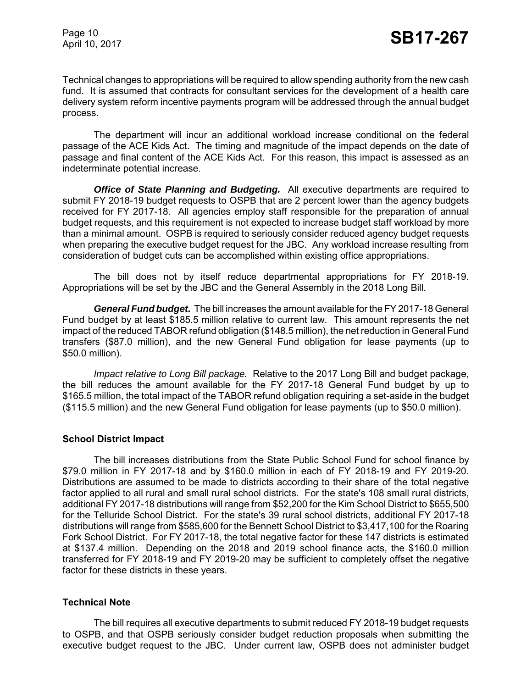Technical changes to appropriations will be required to allow spending authority from the new cash fund. It is assumed that contracts for consultant services for the development of a health care delivery system reform incentive payments program will be addressed through the annual budget process.

The department will incur an additional workload increase conditional on the federal passage of the ACE Kids Act. The timing and magnitude of the impact depends on the date of passage and final content of the ACE Kids Act. For this reason, this impact is assessed as an indeterminate potential increase.

*Office of State Planning and Budgeting.* All executive departments are required to submit FY 2018-19 budget requests to OSPB that are 2 percent lower than the agency budgets received for FY 2017-18. All agencies employ staff responsible for the preparation of annual budget requests, and this requirement is not expected to increase budget staff workload by more than a minimal amount. OSPB is required to seriously consider reduced agency budget requests when preparing the executive budget request for the JBC. Any workload increase resulting from consideration of budget cuts can be accomplished within existing office appropriations.

The bill does not by itself reduce departmental appropriations for FY 2018-19. Appropriations will be set by the JBC and the General Assembly in the 2018 Long Bill.

*General Fund budget.* The bill increases the amount available for the FY 2017-18 General Fund budget by at least \$185.5 million relative to current law. This amount represents the net impact of the reduced TABOR refund obligation (\$148.5 million), the net reduction in General Fund transfers (\$87.0 million), and the new General Fund obligation for lease payments (up to \$50.0 million).

*Impact relative to Long Bill package.* Relative to the 2017 Long Bill and budget package, the bill reduces the amount available for the FY 2017-18 General Fund budget by up to \$165.5 million, the total impact of the TABOR refund obligation requiring a set-aside in the budget (\$115.5 million) and the new General Fund obligation for lease payments (up to \$50.0 million).

#### **School District Impact**

The bill increases distributions from the State Public School Fund for school finance by \$79.0 million in FY 2017-18 and by \$160.0 million in each of FY 2018-19 and FY 2019-20. Distributions are assumed to be made to districts according to their share of the total negative factor applied to all rural and small rural school districts. For the state's 108 small rural districts, additional FY 2017-18 distributions will range from \$52,200 for the Kim School District to \$655,500 for the Telluride School District. For the state's 39 rural school districts, additional FY 2017-18 distributions will range from \$585,600 for the Bennett School District to \$3,417,100 for the Roaring Fork School District. For FY 2017-18, the total negative factor for these 147 districts is estimated at \$137.4 million. Depending on the 2018 and 2019 school finance acts, the \$160.0 million transferred for FY 2018-19 and FY 2019-20 may be sufficient to completely offset the negative factor for these districts in these years.

## **Technical Note**

The bill requires all executive departments to submit reduced FY 2018-19 budget requests to OSPB, and that OSPB seriously consider budget reduction proposals when submitting the executive budget request to the JBC. Under current law, OSPB does not administer budget